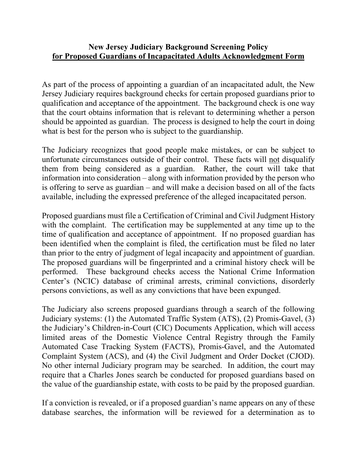## **New Jersey Judiciary Background Screening Policy for Proposed Guardians of Incapacitated Adults Acknowledgment Form**

As part of the process of appointing a guardian of an incapacitated adult, the New Jersey Judiciary requires background checks for certain proposed guardians prior to qualification and acceptance of the appointment. The background check is one way that the court obtains information that is relevant to determining whether a person should be appointed as guardian. The process is designed to help the court in doing what is best for the person who is subject to the guardianship.

The Judiciary recognizes that good people make mistakes, or can be subject to unfortunate circumstances outside of their control. These facts will not disqualify them from being considered as a guardian. Rather, the court will take that information into consideration – along with information provided by the person who is offering to serve as guardian – and will make a decision based on all of the facts available, including the expressed preference of the alleged incapacitated person.

Proposed guardians must file a Certification of Criminal and Civil Judgment History with the complaint. The certification may be supplemented at any time up to the time of qualification and acceptance of appointment. If no proposed guardian has been identified when the complaint is filed, the certification must be filed no later than prior to the entry of judgment of legal incapacity and appointment of guardian. The proposed guardians will be fingerprinted and a criminal history check will be performed. These background checks access the National Crime Information Center's (NCIC) database of criminal arrests, criminal convictions, disorderly persons convictions, as well as any convictions that have been expunged.

The Judiciary also screens proposed guardians through a search of the following Judiciary systems: (1) the Automated Traffic System (ATS), (2) Promis-Gavel, (3) the Judiciary's Children-in-Court (CIC) Documents Application, which will access limited areas of the Domestic Violence Central Registry through the Family Automated Case Tracking System (FACTS), Promis-Gavel, and the Automated Complaint System (ACS), and (4) the Civil Judgment and Order Docket (CJOD). No other internal Judiciary program may be searched. In addition, the court may require that a Charles Jones search be conducted for proposed guardians based on the value of the guardianship estate, with costs to be paid by the proposed guardian.

If a conviction is revealed, or if a proposed guardian's name appears on any of these database searches, the information will be reviewed for a determination as to